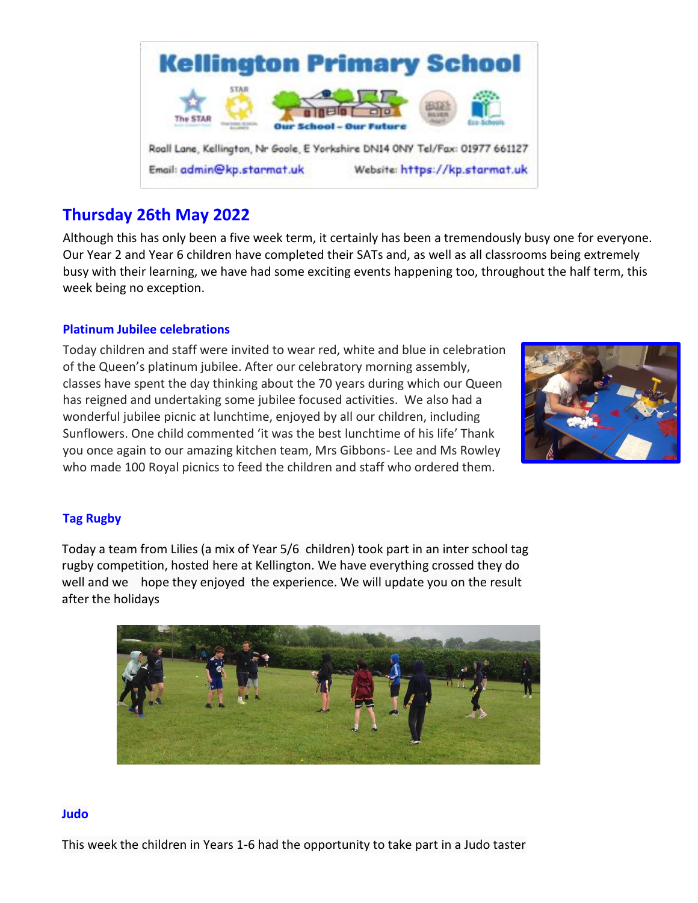

# **Thursday 26th May 2022**

Although this has only been a five week term, it certainly has been a tremendously busy one for everyone. Our Year 2 and Year 6 children have completed their SATs and, as well as all classrooms being extremely busy with their learning, we have had some exciting events happening too, throughout the half term, this week being no exception.

# **Platinum Jubilee celebrations**

Today children and staff were invited to wear red, white and blue in celebration of the Queen's platinum jubilee. After our celebratory morning assembly, classes have spent the day thinking about the 70 years during which our Queen has reigned and undertaking some jubilee focused activities. We also had a wonderful jubilee picnic at lunchtime, enjoyed by all our children, including Sunflowers. One child commented 'it was the best lunchtime of his life' Thank you once again to our amazing kitchen team, Mrs Gibbons- Lee and Ms Rowley who made 100 Royal picnics to feed the children and staff who ordered them.



# **Tag Rugby**

Today a team from Lilies (a mix of Year 5/6 children) took part in an inter school tag rugby competition, hosted here at Kellington. We have everything crossed they do well and we hope they enjoyed the experience. We will update you on the result after the holidays



#### **Judo**

This week the children in Years 1-6 had the opportunity to take part in a Judo taster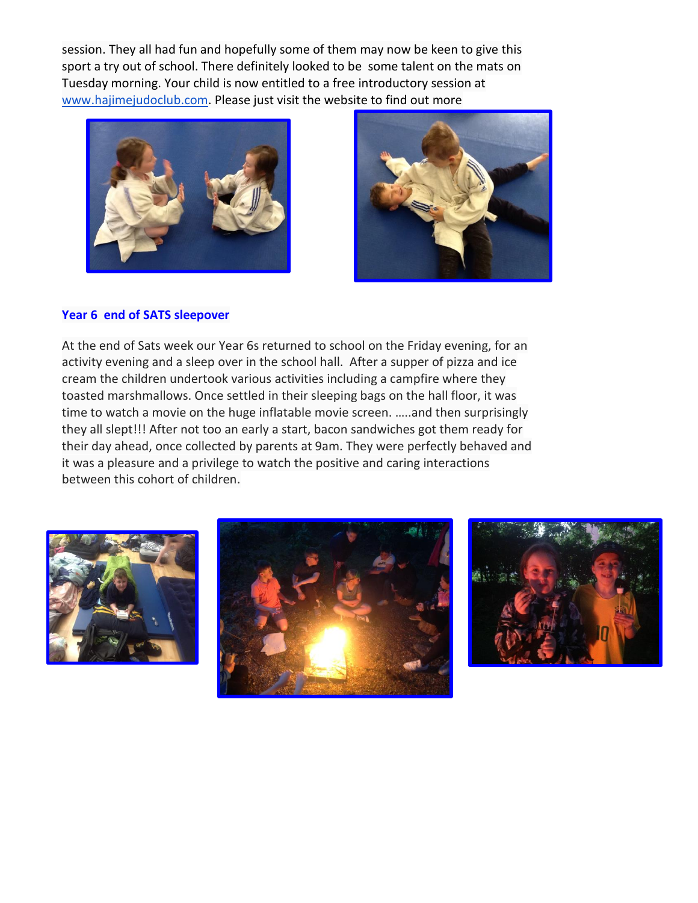session. They all had fun and hopefully some of them may now be keen to give this sport a try out of school. There definitely looked to be some talent on the mats on Tuesday morning. Your child is now entitled to a free introductory session at [www.hajimejudoclub.com.](http://www.hajimejudoclub.com/) Please just visit the website to find out more





#### **Year 6 end of SATS sleepover**

At the end of Sats week our Year 6s returned to school on the Friday evening, for an activity evening and a sleep over in the school hall. After a supper of pizza and ice cream the children undertook various activities including a campfire where they toasted marshmallows. Once settled in their sleeping bags on the hall floor, it was time to watch a movie on the huge inflatable movie screen. …..and then surprisingly they all slept!!! After not too an early a start, bacon sandwiches got them ready for their day ahead, once collected by parents at 9am. They were perfectly behaved and it was a pleasure and a privilege to watch the positive and caring interactions between this cohort of children.





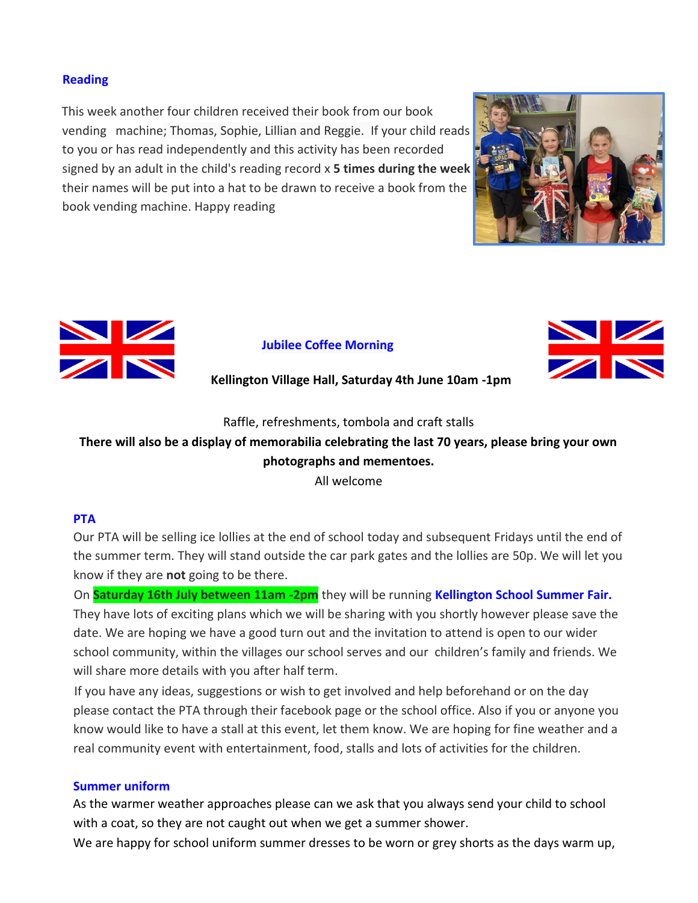#### **Reading**

This week another four children received their book from our book vending machine; Thomas, Sophie, Lillian and Reggie. If your child reads to you or has read independently and this activity has been recorded signed by an adult in the child's reading record x **5 times during the week**  their names will be put into a hat to be drawn to receive a book from the book vending machine. Happy reading





# **Jubilee Coffee Morning**



# **Kellington Village Hall, Saturday 4th June 10am -1pm**

Raffle, refreshments, tombola and craft stalls

# **There will also be a display of memorabilia celebrating the last 70 years, please bring your own photographs and mementoes.**

All welcome

#### **PTA**

Our PTA will be selling ice lollies at the end of school today and subsequent Fridays until the end of the summer term. They will stand outside the car park gates and the lollies are 50p. We will let you know if they are **not** going to be there.

On **Saturday 16th July between 11am -2pm** they will be running **Kellington School Summer Fair.**  They have lots of exciting plans which we will be sharing with you shortly however please save the date. We are hoping we have a good turn out and the invitation to attend is open to our wider school community, within the villages our school serves and our children's family and friends. We will share more details with you after half term.

If you have any ideas, suggestions or wish to get involved and help beforehand or on the day please contact the PTA through their facebook page or the school office. Also if you or anyone you know would like to have a stall at this event, let them know. We are hoping for fine weather and a real community event with entertainment, food, stalls and lots of activities for the children.

#### **Summer uniform**

As the warmer weather approaches please can we ask that you always send your child to school with a coat, so they are not caught out when we get a summer shower.

We are happy for school uniform summer dresses to be worn or grey shorts as the days warm up,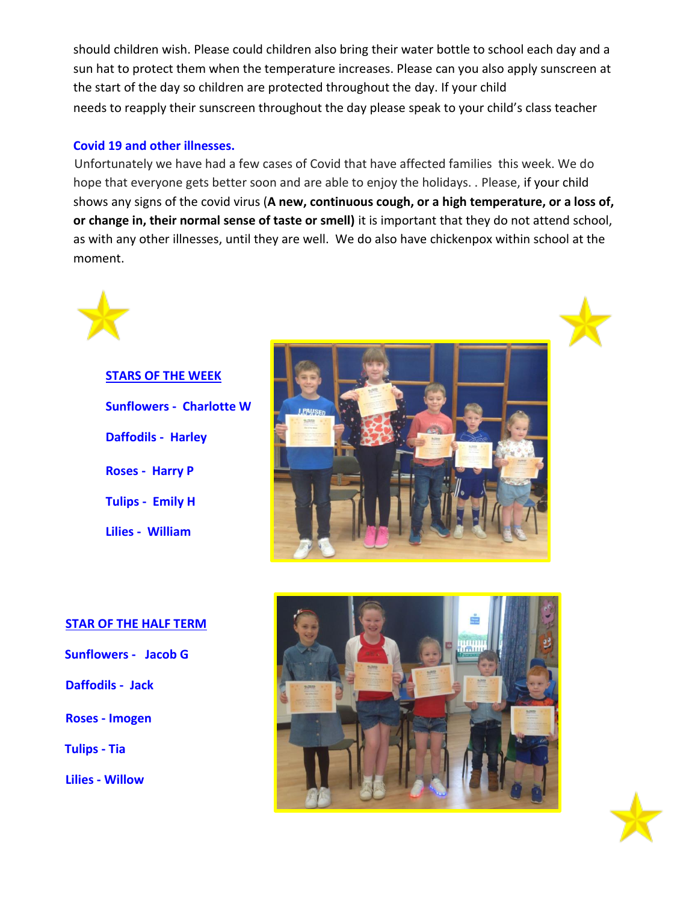should children wish. Please could children also bring their water bottle to school each day and a sun hat to protect them when the temperature increases. Please can you also apply sunscreen at the start of the day so children are protected throughout the day. If your child needs to reapply their sunscreen throughout the day please speak to your child's class teacher

#### **Covid 19 and other illnesses.**

Unfortunately we have had a few cases of Covid that have affected families this week. We do hope that everyone gets better soon and are able to enjoy the holidays. . Please, if your child shows any signs of the covid virus (**A new, continuous cough, or a high temperature, or a loss of, or change in, their normal sense of taste or smell)** it is important that they do not attend school, as with any other illnesses, until they are well. We do also have chickenpox within school at the moment.

# **STARS OF THE WEEK Sunflowers - Charlotte W Daffodils - Harley Roses - Harry P Tulips - Emily H Lilies - William**



#### **STAR OF THE HALF TERM**

- **Sunflowers Jacob G**
- **Daffodils Jack**
- **Roses - Imogen**
- **Tulips - Tia**
- **Lilies - Willow**



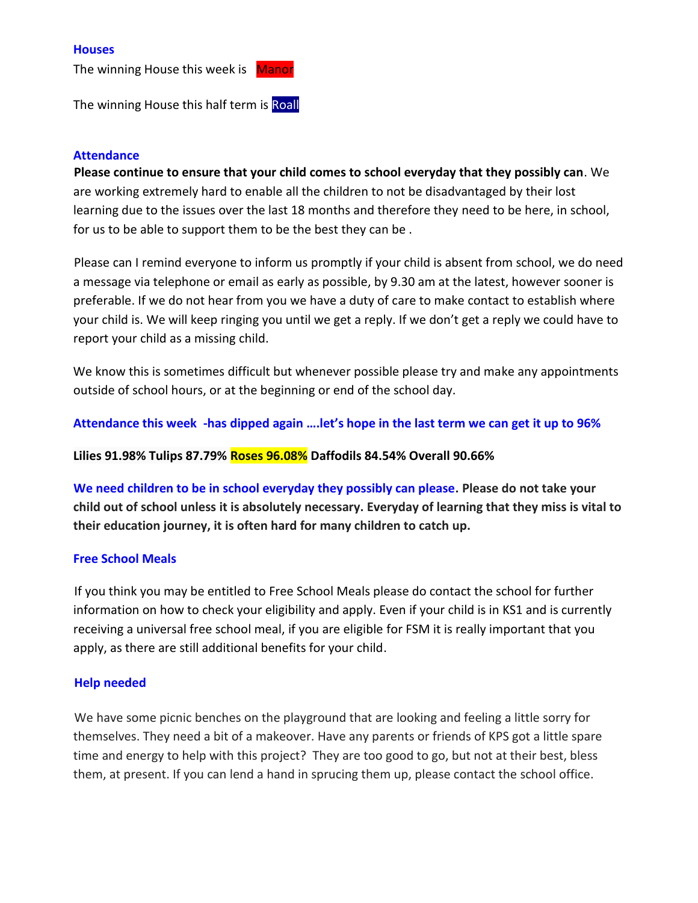#### **Houses**

The winning House this week is Manor

The winning House this half term is Roall

#### **Attendance**

**Please continue to ensure that your child comes to school everyday that they possibly can**. We are working extremely hard to enable all the children to not be disadvantaged by their lost learning due to the issues over the last 18 months and therefore they need to be here, in school, for us to be able to support them to be the best they can be .

Please can I remind everyone to inform us promptly if your child is absent from school, we do need a message via telephone or email as early as possible, by 9.30 am at the latest, however sooner is preferable. If we do not hear from you we have a duty of care to make contact to establish where your child is. We will keep ringing you until we get a reply. If we don't get a reply we could have to report your child as a missing child.

We know this is sometimes difficult but whenever possible please try and make any appointments outside of school hours, or at the beginning or end of the school day.

**Attendance this week -has dipped again ….let's hope in the last term we can get it up to 96%**

**Lilies 91.98% Tulips 87.79% Roses 96.08% Daffodils 84.54% Overall 90.66%**

**We need children to be in school everyday they possibly can please. Please do not take your child out of school unless it is absolutely necessary. Everyday of learning that they miss is vital to their education journey, it is often hard for many children to catch up.** 

#### **Free School Meals**

If you think you may be entitled to Free School Meals please do contact the school for further information on how to check your eligibility and apply. Even if your child is in KS1 and is currently receiving a universal free school meal, if you are eligible for FSM it is really important that you apply, as there are still additional benefits for your child.

#### **Help needed**

We have some picnic benches on the playground that are looking and feeling a little sorry for themselves. They need a bit of a makeover. Have any parents or friends of KPS got a little spare time and energy to help with this project? They are too good to go, but not at their best, bless them, at present. If you can lend a hand in sprucing them up, please contact the school office.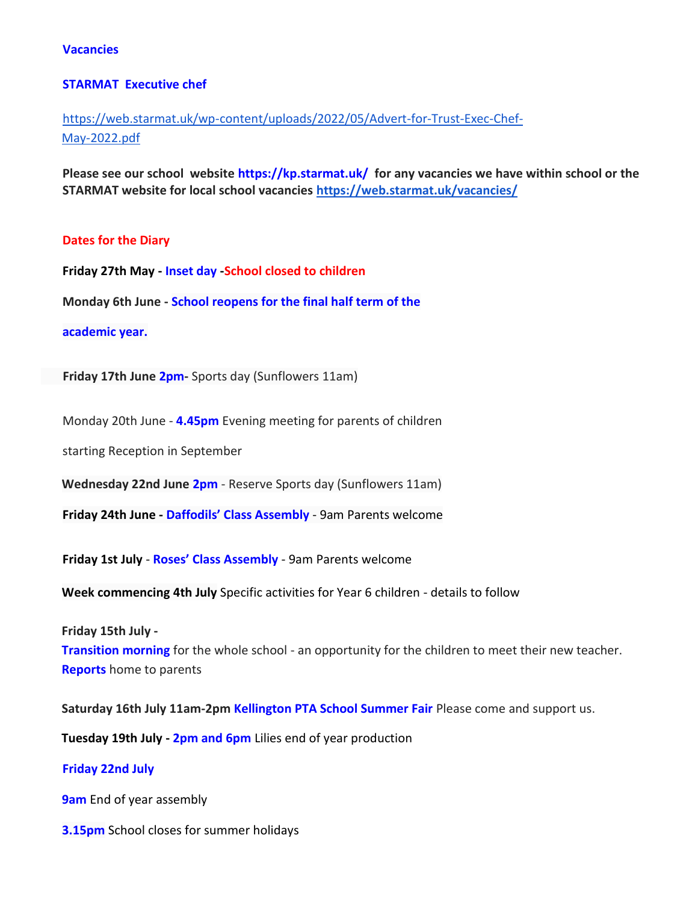#### **Vacancies**

#### **STARMAT Executive chef**

# [https://web.starmat.uk/wp-content/uploads/2022/05/Advert-for-Trust-Exec-Chef-](https://web.starmat.uk/wp-content/uploads/2022/05/Advert-for-Trust-Exec-Chef-May-2022.pdf)[May-2022.pdf](https://web.starmat.uk/wp-content/uploads/2022/05/Advert-for-Trust-Exec-Chef-May-2022.pdf)

**Please see our school website https://kp.starmat.uk/ for any vacancies we have within school or the STARMAT website for local school vacancies<https://web.starmat.uk/vacancies/>**

#### **Dates for the Diary**

**Friday 27th May - Inset day -School closed to children**

**Monday 6th June - School reopens for the final half term of the** 

#### **academic year.**

 **Friday 17th June 2pm-** Sports day (Sunflowers 11am)

Monday 20th June - **4.45pm** Evening meeting for parents of children

starting Reception in September

**Wednesday 22nd June 2pm** - Reserve Sports day (Sunflowers 11am)

**Friday 24th June - Daffodils' Class Assembly** - 9am Parents welcome

**Friday 1st July** - **Roses' Class Assembly** - 9am Parents welcome

**Week commencing 4th July** Specific activities for Year 6 children - details to follow

**Friday 15th July -**

**Transition morning** for the whole school - an opportunity for the children to meet their new teacher. **Reports** home to parents

**Saturday 16th July 11am-2pm Kellington PTA School Summer Fair** Please come and support us.

**Tuesday 19th July - 2pm and 6pm** Lilies end of year production

#### **Friday 22nd July**

**9am** End of year assembly

**3.15pm** School closes for summer holidays